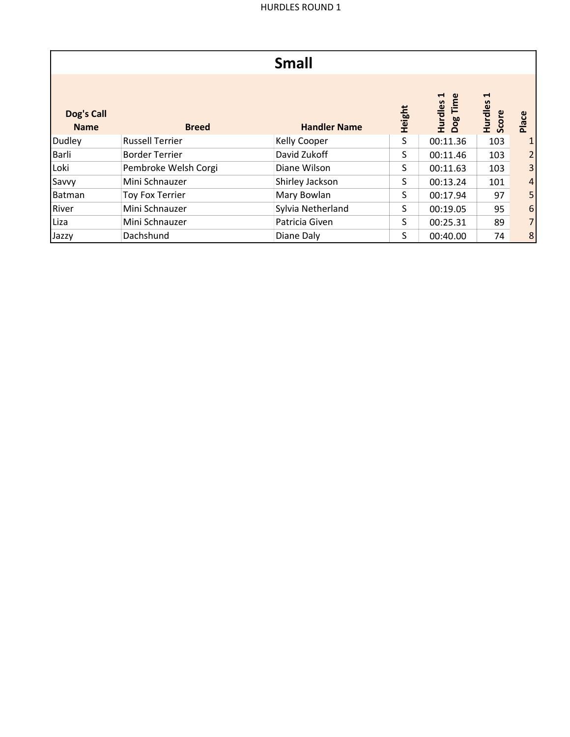|                           |                        | <b>Small</b>        |        |                                            |                       |                |
|---------------------------|------------------------|---------------------|--------|--------------------------------------------|-----------------------|----------------|
| Dog's Call<br><b>Name</b> | <b>Breed</b>           | <b>Handler Name</b> | Height | Hurdles 1<br>$\mathbf{\omega}$<br>Dog Time | H<br>Hurdles<br>Score | Place          |
| Dudley                    | <b>Russell Terrier</b> | Kelly Cooper        | S      | 00:11.36                                   | 103                   |                |
| <b>Barli</b>              | <b>Border Terrier</b>  | David Zukoff        | S      | 00:11.46                                   | 103                   |                |
| Loki                      | Pembroke Welsh Corgi   | Diane Wilson        | S      | 00:11.63                                   | 103                   |                |
| Savvy                     | Mini Schnauzer         | Shirley Jackson     | S      | 00:13.24                                   | 101                   | 4              |
| Batman                    | Toy Fox Terrier        | Mary Bowlan         | S      | 00:17.94                                   | 97                    |                |
| River                     | Mini Schnauzer         | Sylvia Netherland   | S      | 00:19.05                                   | 95                    | 6              |
| Liza                      | Mini Schnauzer         | Patricia Given      | S      | 00:25.31                                   | 89                    |                |
| Jazzy                     | Dachshund              | Diane Daly          | S      | 00:40.00                                   | 74                    | 8 <sub>l</sub> |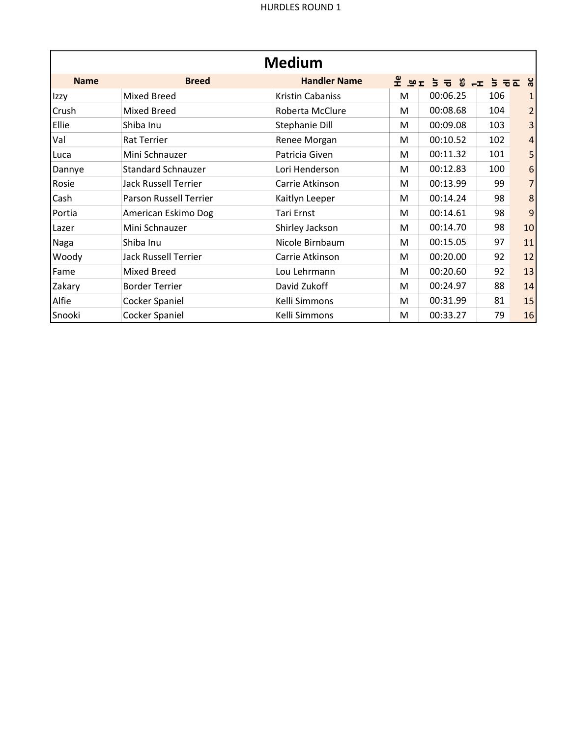| <b>Medium</b> |                             |                     |            |                                                                                                                         |     |                |
|---------------|-----------------------------|---------------------|------------|-------------------------------------------------------------------------------------------------------------------------|-----|----------------|
| <b>Name</b>   | <b>Breed</b>                | <b>Handler Name</b> | ヱ <u>៓</u> | $\overline{5}$ $\overline{5}$ $\overline{8}$ $\overline{6}$ $\overline{4}$ $\overline{5}$ $\overline{5}$ $\overline{6}$ |     | δ              |
| Izzy          | <b>Mixed Breed</b>          | Kristin Cabaniss    | M          | 00:06.25                                                                                                                | 106 |                |
| Crush         | <b>Mixed Breed</b>          | Roberta McClure     | M          | 00:08.68                                                                                                                | 104 | 2              |
| Ellie         | Shiba Inu                   | Stephanie Dill      | M          | 00:09.08                                                                                                                | 103 | 3              |
| Val           | <b>Rat Terrier</b>          | Renee Morgan        | M          | 00:10.52                                                                                                                | 102 | $\overline{4}$ |
| Luca          | Mini Schnauzer              | Patricia Given      | M          | 00:11.32                                                                                                                | 101 | 5              |
| Dannye        | <b>Standard Schnauzer</b>   | Lori Henderson      | M          | 00:12.83                                                                                                                | 100 | 6              |
| Rosie         | <b>Jack Russell Terrier</b> | Carrie Atkinson     | M          | 00:13.99                                                                                                                | 99  | 7              |
| Cash          | Parson Russell Terrier      | Kaitlyn Leeper      | M          | 00:14.24                                                                                                                | 98  | 8              |
| Portia        | American Eskimo Dog         | Tari Ernst          | M          | 00:14.61                                                                                                                | 98  | 9              |
| Lazer         | Mini Schnauzer              | Shirley Jackson     | M          | 00:14.70                                                                                                                | 98  | 10             |
| Naga          | Shiba Inu                   | Nicole Birnbaum     | M          | 00:15.05                                                                                                                | 97  | 11             |
| Woody         | Jack Russell Terrier        | Carrie Atkinson     | M          | 00:20.00                                                                                                                | 92  | 12             |
| Fame          | <b>Mixed Breed</b>          | Lou Lehrmann        | M          | 00:20.60                                                                                                                | 92  | 13             |
| Zakary        | <b>Border Terrier</b>       | David Zukoff        | M          | 00:24.97                                                                                                                | 88  | 14             |
| Alfie         | Cocker Spaniel              | Kelli Simmons       | M          | 00:31.99                                                                                                                | 81  | 15             |
| Snooki        | <b>Cocker Spaniel</b>       | Kelli Simmons       | M          | 00:33.27                                                                                                                | 79  | 16             |